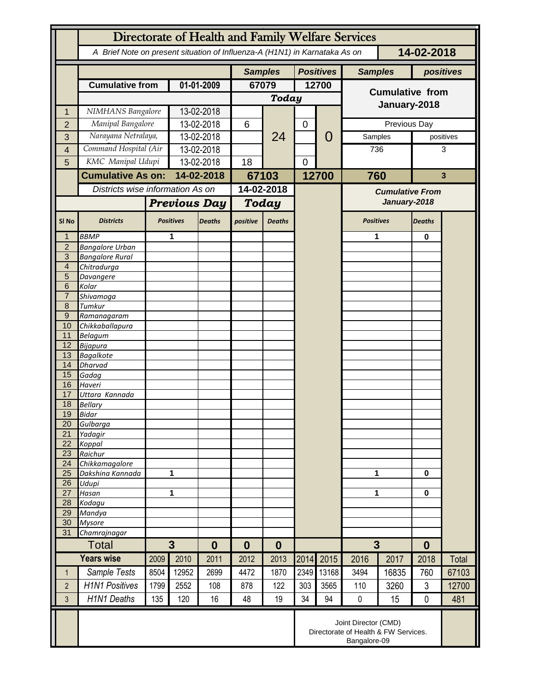|                                  | Directorate of Health and Family Welfare Services                                        |                       |                                  |               |                |                      |             |                  |                        |              |               |       |
|----------------------------------|------------------------------------------------------------------------------------------|-----------------------|----------------------------------|---------------|----------------|----------------------|-------------|------------------|------------------------|--------------|---------------|-------|
|                                  | A Brief Note on present situation of Influenza-A (H1N1) in Karnataka As on<br>14-02-2018 |                       |                                  |               |                |                      |             |                  |                        |              |               |       |
|                                  |                                                                                          |                       |                                  |               | <b>Samples</b> |                      |             | <b>Positives</b> | <b>Samples</b>         |              | positives     |       |
|                                  | <b>Cumulative from</b>                                                                   |                       | 01-01-2009                       |               | 67079          |                      | 12700       |                  | <b>Cumulative from</b> |              |               |       |
|                                  |                                                                                          |                       |                                  |               | <b>Today</b>   |                      |             |                  |                        |              |               |       |
| 1                                | NIMHANS Bangalore                                                                        |                       | 13-02-2018                       |               |                |                      |             |                  | January-2018           |              |               |       |
| $\overline{2}$                   | Manipal Bangalore                                                                        |                       | 13-02-2018                       |               | 6              | 24                   | $\mathbf 0$ |                  |                        | Previous Day |               |       |
| 3                                | Narayana Netralaya,                                                                      |                       | 13-02-2018                       |               |                |                      |             | 0                | Samples                |              | positives     |       |
| 4                                |                                                                                          | Command Hospital (Air |                                  | 13-02-2018    |                |                      |             |                  | 736                    |              | 3             |       |
| 5                                |                                                                                          | KMC Manipal Udupi     |                                  | 13-02-2018    |                |                      | $\mathbf 0$ |                  |                        |              |               |       |
|                                  |                                                                                          |                       |                                  |               |                |                      |             |                  |                        |              | $\mathbf{3}$  |       |
|                                  | <b>Cumulative As on:</b>                                                                 |                       | 14-02-2018                       |               | 67103          |                      |             | 12700            | 760                    |              |               |       |
|                                  |                                                                                          |                       | Districts wise information As on |               | 14-02-2018     |                      |             |                  | <b>Cumulative From</b> |              |               |       |
|                                  |                                                                                          |                       | <b>Previous Day</b>              |               | Today          |                      |             |                  | January-2018           |              |               |       |
| SI <sub>No</sub>                 | <b>Districts</b>                                                                         |                       | <b>Positives</b>                 | <b>Deaths</b> | positive       | <b>Deaths</b>        |             |                  | <b>Positives</b>       |              | <b>Deaths</b> |       |
| 1                                | <b>BBMP</b>                                                                              |                       | 1                                |               |                |                      |             |                  | 1                      |              | $\bf{0}$      |       |
| $\overline{2}$                   | <b>Bangalore Urban</b>                                                                   |                       |                                  |               |                |                      |             |                  |                        |              |               |       |
| $\overline{3}$<br>$\overline{4}$ | <b>Bangalore Rural</b>                                                                   |                       |                                  |               |                |                      |             |                  |                        |              |               |       |
| 5                                | Chitradurga<br>Davangere                                                                 |                       |                                  |               |                |                      |             |                  |                        |              |               |       |
| 6                                | Kolar                                                                                    |                       |                                  |               |                |                      |             |                  |                        |              |               |       |
| $\overline{7}$                   | Shivamoga                                                                                |                       |                                  |               |                |                      |             |                  |                        |              |               |       |
| 8                                | Tumkur                                                                                   |                       |                                  |               |                |                      |             |                  |                        |              |               |       |
| $9\,$                            | Ramanagaram                                                                              |                       |                                  |               |                |                      |             |                  |                        |              |               |       |
| 10<br>11                         | Chikkaballapura<br><b>Belagum</b>                                                        |                       |                                  |               |                |                      |             |                  |                        |              |               |       |
| 12                               | Bijapura                                                                                 |                       |                                  |               |                |                      |             |                  |                        |              |               |       |
| 13                               | <b>Bagalkote</b>                                                                         |                       |                                  |               |                |                      |             |                  |                        |              |               |       |
| 14                               | Dharvad                                                                                  |                       |                                  |               |                |                      |             |                  |                        |              |               |       |
| 15                               | Gadag                                                                                    |                       |                                  |               |                |                      |             |                  |                        |              |               |       |
| 16                               | Haveri                                                                                   |                       |                                  |               |                |                      |             |                  |                        |              |               |       |
| 17<br>18                         | Uttara Kannada<br><b>Bellary</b>                                                         |                       |                                  |               |                |                      |             |                  |                        |              |               |       |
| 19                               | Bidar                                                                                    |                       |                                  |               |                |                      |             |                  |                        |              |               |       |
| 20                               | Gulbarga                                                                                 |                       |                                  |               |                |                      |             |                  |                        |              |               |       |
| 21                               | Yadagir                                                                                  |                       |                                  |               |                |                      |             |                  |                        |              |               |       |
| 22                               | Koppal                                                                                   |                       |                                  |               |                |                      |             |                  |                        |              |               |       |
| 23<br>$\overline{24}$            | Raichur<br>Chikkamagalore                                                                |                       |                                  |               |                |                      |             |                  |                        |              |               |       |
| 25                               | Dakshina Kannada                                                                         | 1                     |                                  |               |                |                      |             |                  |                        | 1            |               |       |
| 26                               | Udupi                                                                                    |                       |                                  |               |                |                      |             |                  |                        |              | 0             |       |
| 27                               | Hasan                                                                                    |                       | 1                                |               |                |                      |             |                  | 1                      |              | 0             |       |
| 28                               | Kodagu                                                                                   |                       |                                  |               |                |                      |             |                  |                        |              |               |       |
| 29<br>30                         | Mandya<br><b>Mysore</b>                                                                  |                       |                                  |               |                |                      |             |                  |                        |              |               |       |
| 31                               | Chamrajnagar                                                                             |                       |                                  |               |                |                      |             |                  |                        |              |               |       |
|                                  | Total                                                                                    |                       | $3\phantom{a}$<br>$\bf{0}$       |               |                | $\bf{0}$<br>$\bf{0}$ |             |                  | 3                      |              | $\bf{0}$      |       |
|                                  | <b>Years wise</b>                                                                        | 2009                  | 2010                             | 2011          | 2012           | 2013                 | 2014        | 2015             | 2016                   | 2017         | 2018          | Total |
| 1                                | Sample Tests                                                                             | 8504                  | 12952                            | 2699          | 4472           | 1870                 | 2349        | 13168            | 3494                   | 16835        | 760           | 67103 |
| $\overline{2}$                   | <b>H1N1 Positives</b>                                                                    | 1799                  | 2552                             | 108           | 878            | 122                  | 303         | 3565             | 110                    | 3260         | 3             | 12700 |
| 3                                | <b>H1N1 Deaths</b>                                                                       | 135                   | 120                              | 16            | 48             | 19                   | 34          | 94               | $\pmb{0}$              | 15           | $\mathbf 0$   | 481   |
|                                  |                                                                                          |                       |                                  |               |                |                      |             |                  |                        |              |               |       |
|                                  | Joint Director (CMD)<br>Directorate of Health & FW Services.<br>Bangalore-09             |                       |                                  |               |                |                      |             |                  |                        |              |               |       |